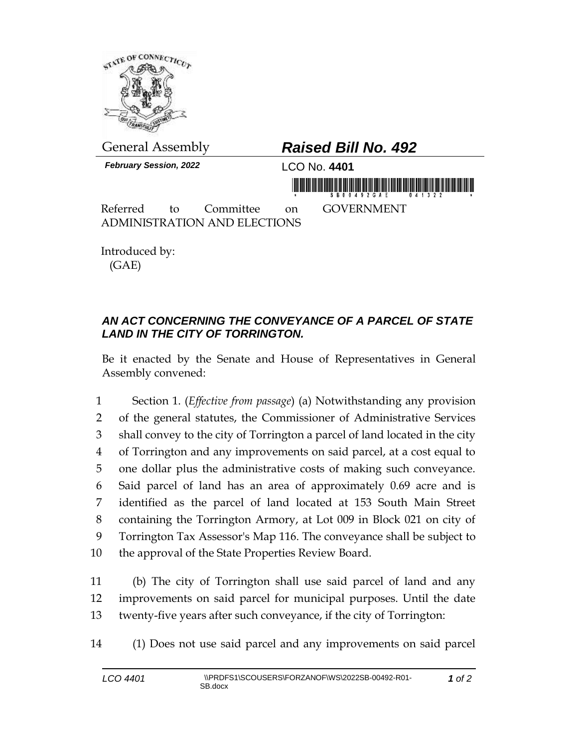

General Assembly *Raised Bill No. 492 February Session, 2022* LCO No. **4401** Referred to Committee on GOVERNMENT ADMINISTRATION AND ELECTIONS

Introduced by: (GAE)

## *AN ACT CONCERNING THE CONVEYANCE OF A PARCEL OF STATE LAND IN THE CITY OF TORRINGTON.*

Be it enacted by the Senate and House of Representatives in General Assembly convened:

 Section 1. (*Effective from passage*) (a) Notwithstanding any provision of the general statutes, the Commissioner of Administrative Services shall convey to the city of Torrington a parcel of land located in the city of Torrington and any improvements on said parcel, at a cost equal to one dollar plus the administrative costs of making such conveyance. Said parcel of land has an area of approximately 0.69 acre and is identified as the parcel of land located at 153 South Main Street containing the Torrington Armory, at Lot 009 in Block 021 on city of Torrington Tax Assessor's Map 116. The conveyance shall be subject to the approval of the State Properties Review Board.

11 (b) The city of Torrington shall use said parcel of land and any 12 improvements on said parcel for municipal purposes. Until the date 13 twenty-five years after such conveyance, if the city of Torrington:

14 (1) Does not use said parcel and any improvements on said parcel